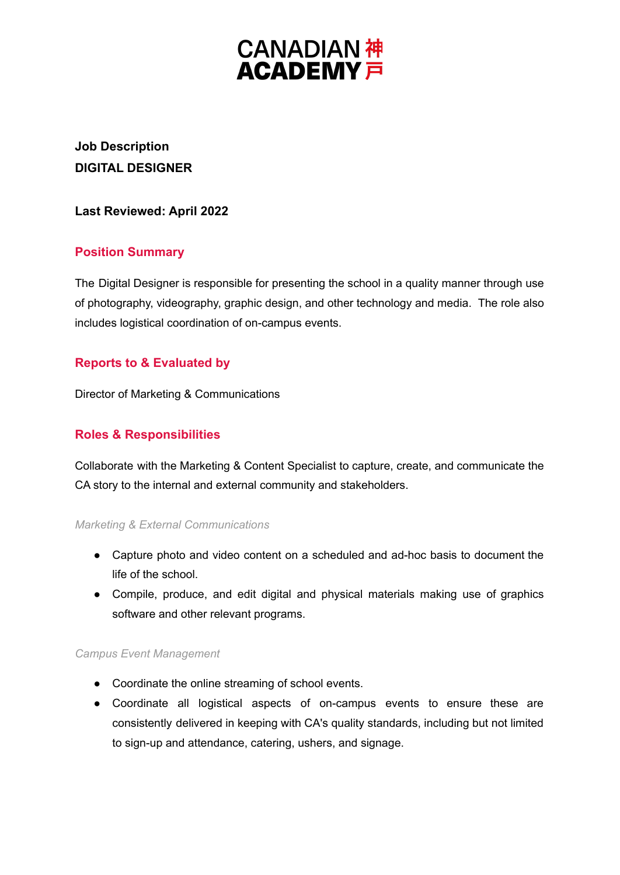# **CANADIAN 神<br>ACADEMY 戸**

# **Job Description DIGITAL DESIGNER**

## **Last Reviewed: April 2022**

# **Position Summary**

The Digital Designer is responsible for presenting the school in a quality manner through use of photography, videography, graphic design, and other technology and media. The role also includes logistical coordination of on-campus events.

# **Reports to & Evaluated by**

Director of Marketing & Communications

## **Roles & Responsibilities**

Collaborate with the Marketing & Content Specialist to capture, create, and communicate the CA story to the internal and external community and stakeholders.

#### *Marketing & External Communications*

- Capture photo and video content on a scheduled and ad-hoc basis to document the life of the school.
- Compile, produce, and edit digital and physical materials making use of graphics software and other relevant programs.

#### *Campus Event Management*

- Coordinate the online streaming of school events.
- Coordinate all logistical aspects of on-campus events to ensure these are consistently delivered in keeping with CA's quality standards, including but not limited to sign-up and attendance, catering, ushers, and signage.